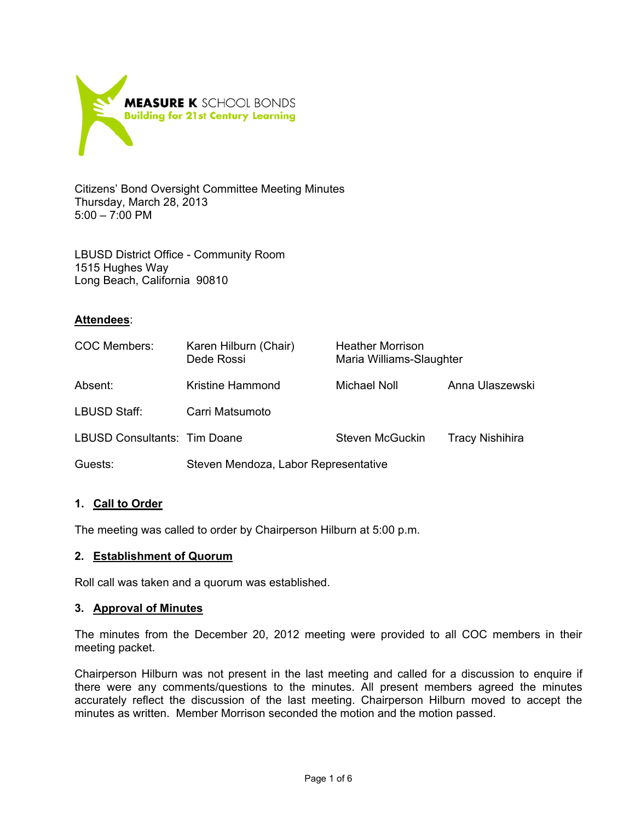

Citizens' Bond Oversight Committee Meeting Minutes Thursday, March 28, 2013 5:00 – 7:00 PM

LBUSD District Office - Community Room 1515 Hughes Way Long Beach, California 90810

## **Attendees**:

| <b>COC Members:</b>          | Karen Hilburn (Chair)<br>Dede Rossi  | <b>Heather Morrison</b><br>Maria Williams-Slaughter |                        |
|------------------------------|--------------------------------------|-----------------------------------------------------|------------------------|
| Absent:                      | Kristine Hammond                     | Michael Noll                                        | Anna Ulaszewski        |
| LBUSD Staff:                 | Carri Matsumoto                      |                                                     |                        |
| LBUSD Consultants: Tim Doane |                                      | Steven McGuckin                                     | <b>Tracy Nishihira</b> |
| Guests:                      | Steven Mendoza, Labor Representative |                                                     |                        |

## **1. Call to Order**

The meeting was called to order by Chairperson Hilburn at 5:00 p.m.

## **2. Establishment of Quorum**

Roll call was taken and a quorum was established.

## **3. Approval of Minutes**

The minutes from the December 20, 2012 meeting were provided to all COC members in their meeting packet.

Chairperson Hilburn was not present in the last meeting and called for a discussion to enquire if there were any comments/questions to the minutes. All present members agreed the minutes accurately reflect the discussion of the last meeting. Chairperson Hilburn moved to accept the minutes as written. Member Morrison seconded the motion and the motion passed.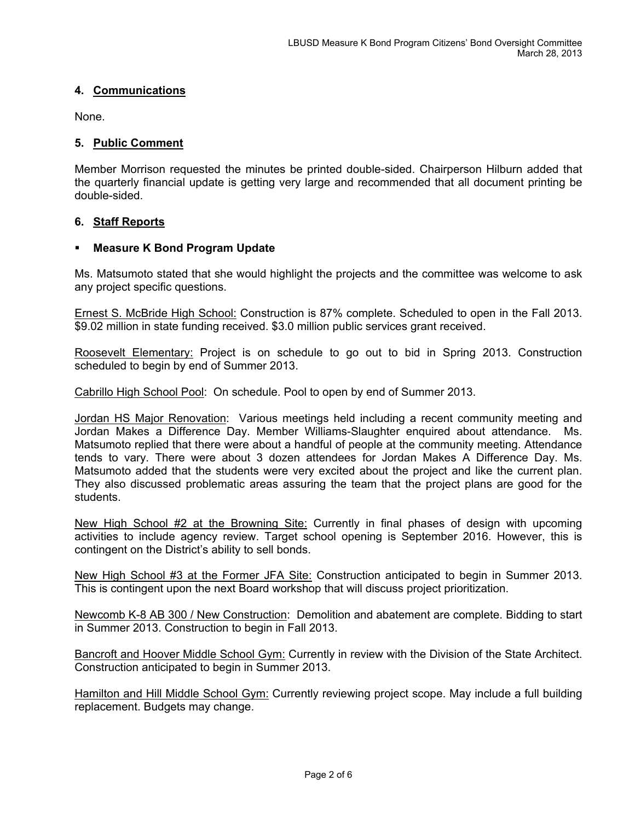## **4. Communications**

None.

## **5. Public Comment**

Member Morrison requested the minutes be printed double-sided. Chairperson Hilburn added that the quarterly financial update is getting very large and recommended that all document printing be double-sided.

## **6. Staff Reports**

## **Measure K Bond Program Update**

Ms. Matsumoto stated that she would highlight the projects and the committee was welcome to ask any project specific questions.

Ernest S. McBride High School: Construction is 87% complete. Scheduled to open in the Fall 2013. \$9.02 million in state funding received. \$3.0 million public services grant received.

Roosevelt Elementary: Project is on schedule to go out to bid in Spring 2013. Construction scheduled to begin by end of Summer 2013.

Cabrillo High School Pool: On schedule. Pool to open by end of Summer 2013.

Jordan HS Major Renovation: Various meetings held including a recent community meeting and Jordan Makes a Difference Day. Member Williams-Slaughter enquired about attendance. Ms. Matsumoto replied that there were about a handful of people at the community meeting. Attendance tends to vary. There were about 3 dozen attendees for Jordan Makes A Difference Day. Ms. Matsumoto added that the students were very excited about the project and like the current plan. They also discussed problematic areas assuring the team that the project plans are good for the students.

New High School #2 at the Browning Site: Currently in final phases of design with upcoming activities to include agency review. Target school opening is September 2016. However, this is contingent on the District's ability to sell bonds.

New High School #3 at the Former JFA Site: Construction anticipated to begin in Summer 2013. This is contingent upon the next Board workshop that will discuss project prioritization.

Newcomb K-8 AB 300 / New Construction: Demolition and abatement are complete. Bidding to start in Summer 2013. Construction to begin in Fall 2013.

Bancroft and Hoover Middle School Gym: Currently in review with the Division of the State Architect. Construction anticipated to begin in Summer 2013.

Hamilton and Hill Middle School Gym: Currently reviewing project scope. May include a full building replacement. Budgets may change.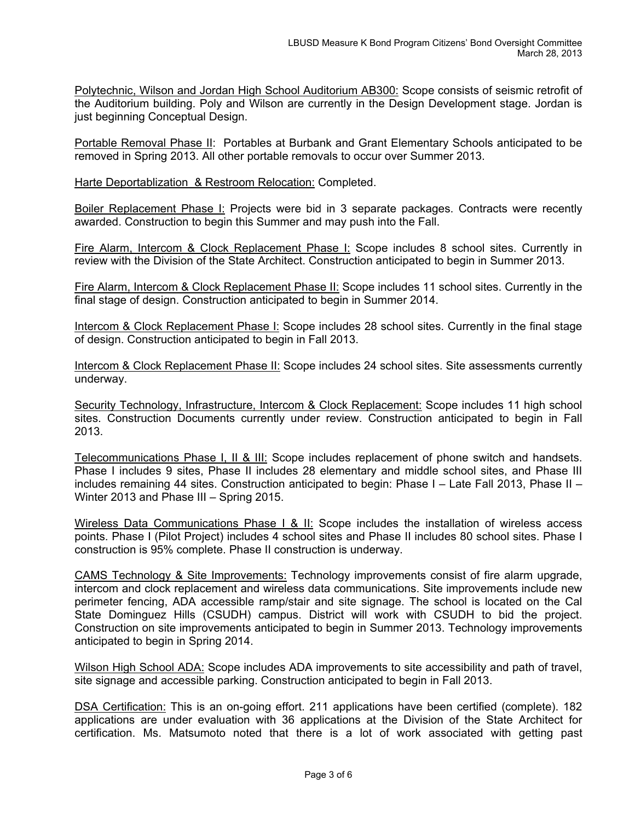Polytechnic, Wilson and Jordan High School Auditorium AB300: Scope consists of seismic retrofit of the Auditorium building. Poly and Wilson are currently in the Design Development stage. Jordan is just beginning Conceptual Design.

Portable Removal Phase II: Portables at Burbank and Grant Elementary Schools anticipated to be removed in Spring 2013. All other portable removals to occur over Summer 2013.

Harte Deportablization & Restroom Relocation: Completed.

Boiler Replacement Phase I: Projects were bid in 3 separate packages. Contracts were recently awarded. Construction to begin this Summer and may push into the Fall.

Fire Alarm, Intercom & Clock Replacement Phase I: Scope includes 8 school sites. Currently in review with the Division of the State Architect. Construction anticipated to begin in Summer 2013.

Fire Alarm, Intercom & Clock Replacement Phase II: Scope includes 11 school sites. Currently in the final stage of design. Construction anticipated to begin in Summer 2014.

Intercom & Clock Replacement Phase I: Scope includes 28 school sites. Currently in the final stage of design. Construction anticipated to begin in Fall 2013.

Intercom & Clock Replacement Phase II: Scope includes 24 school sites. Site assessments currently underway.

Security Technology, Infrastructure, Intercom & Clock Replacement: Scope includes 11 high school sites. Construction Documents currently under review. Construction anticipated to begin in Fall 2013.

Telecommunications Phase I, II & III: Scope includes replacement of phone switch and handsets. Phase I includes 9 sites, Phase II includes 28 elementary and middle school sites, and Phase III includes remaining 44 sites. Construction anticipated to begin: Phase I – Late Fall 2013, Phase II – Winter 2013 and Phase III – Spring 2015.

Wireless Data Communications Phase I & II: Scope includes the installation of wireless access points. Phase I (Pilot Project) includes 4 school sites and Phase II includes 80 school sites. Phase I construction is 95% complete. Phase II construction is underway.

CAMS Technology & Site Improvements: Technology improvements consist of fire alarm upgrade, intercom and clock replacement and wireless data communications. Site improvements include new perimeter fencing, ADA accessible ramp/stair and site signage. The school is located on the Cal State Dominguez Hills (CSUDH) campus. District will work with CSUDH to bid the project. Construction on site improvements anticipated to begin in Summer 2013. Technology improvements anticipated to begin in Spring 2014.

Wilson High School ADA: Scope includes ADA improvements to site accessibility and path of travel, site signage and accessible parking. Construction anticipated to begin in Fall 2013.

DSA Certification: This is an on-going effort. 211 applications have been certified (complete). 182 applications are under evaluation with 36 applications at the Division of the State Architect for certification. Ms. Matsumoto noted that there is a lot of work associated with getting past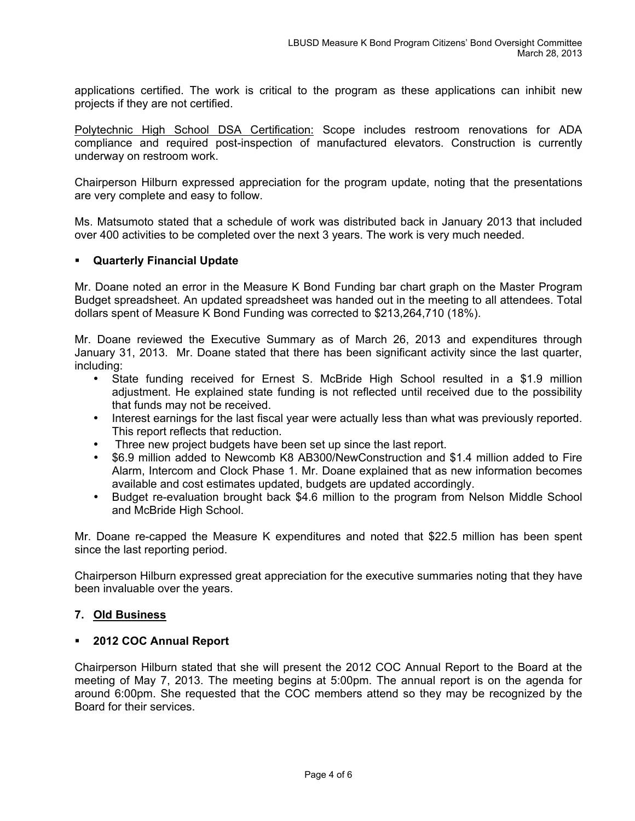applications certified. The work is critical to the program as these applications can inhibit new projects if they are not certified.

Polytechnic High School DSA Certification: Scope includes restroom renovations for ADA compliance and required post-inspection of manufactured elevators. Construction is currently underway on restroom work.

Chairperson Hilburn expressed appreciation for the program update, noting that the presentations are very complete and easy to follow.

Ms. Matsumoto stated that a schedule of work was distributed back in January 2013 that included over 400 activities to be completed over the next 3 years. The work is very much needed.

## **Quarterly Financial Update**

Mr. Doane noted an error in the Measure K Bond Funding bar chart graph on the Master Program Budget spreadsheet. An updated spreadsheet was handed out in the meeting to all attendees. Total dollars spent of Measure K Bond Funding was corrected to \$213,264,710 (18%).

Mr. Doane reviewed the Executive Summary as of March 26, 2013 and expenditures through January 31, 2013. Mr. Doane stated that there has been significant activity since the last quarter, including:

- State funding received for Ernest S. McBride High School resulted in a \$1.9 million adjustment. He explained state funding is not reflected until received due to the possibility that funds may not be received.
- Interest earnings for the last fiscal year were actually less than what was previously reported. This report reflects that reduction.
- Three new project budgets have been set up since the last report.
- \$6.9 million added to Newcomb K8 AB300/NewConstruction and \$1.4 million added to Fire Alarm, Intercom and Clock Phase 1. Mr. Doane explained that as new information becomes available and cost estimates updated, budgets are updated accordingly.
- Budget re-evaluation brought back \$4.6 million to the program from Nelson Middle School and McBride High School.

Mr. Doane re-capped the Measure K expenditures and noted that \$22.5 million has been spent since the last reporting period.

Chairperson Hilburn expressed great appreciation for the executive summaries noting that they have been invaluable over the years.

## **7. Old Business**

## **2012 COC Annual Report**

Chairperson Hilburn stated that she will present the 2012 COC Annual Report to the Board at the meeting of May 7, 2013. The meeting begins at 5:00pm. The annual report is on the agenda for around 6:00pm. She requested that the COC members attend so they may be recognized by the Board for their services.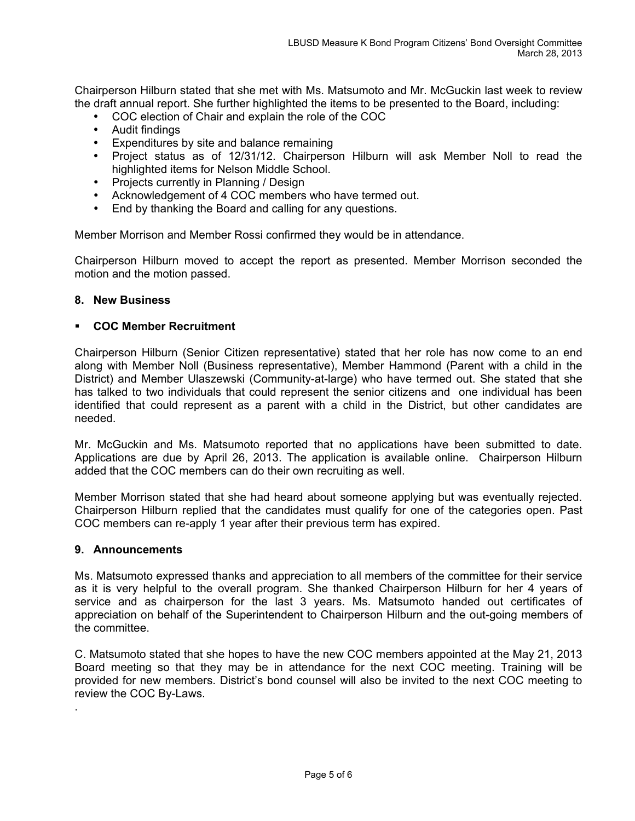Chairperson Hilburn stated that she met with Ms. Matsumoto and Mr. McGuckin last week to review the draft annual report. She further highlighted the items to be presented to the Board, including:

- COC election of Chair and explain the role of the COC
- Audit findings
- Expenditures by site and balance remaining
- Project status as of 12/31/12. Chairperson Hilburn will ask Member Noll to read the highlighted items for Nelson Middle School.
- Projects currently in Planning / Design
- Acknowledgement of 4 COC members who have termed out.
- End by thanking the Board and calling for any questions.

Member Morrison and Member Rossi confirmed they would be in attendance.

Chairperson Hilburn moved to accept the report as presented. Member Morrison seconded the motion and the motion passed.

## **8. New Business**

## **COC Member Recruitment**

Chairperson Hilburn (Senior Citizen representative) stated that her role has now come to an end along with Member Noll (Business representative), Member Hammond (Parent with a child in the District) and Member Ulaszewski (Community-at-large) who have termed out. She stated that she has talked to two individuals that could represent the senior citizens and one individual has been identified that could represent as a parent with a child in the District, but other candidates are needed.

Mr. McGuckin and Ms. Matsumoto reported that no applications have been submitted to date. Applications are due by April 26, 2013. The application is available online. Chairperson Hilburn added that the COC members can do their own recruiting as well.

Member Morrison stated that she had heard about someone applying but was eventually rejected. Chairperson Hilburn replied that the candidates must qualify for one of the categories open. Past COC members can re-apply 1 year after their previous term has expired.

## **9. Announcements**

.

Ms. Matsumoto expressed thanks and appreciation to all members of the committee for their service as it is very helpful to the overall program. She thanked Chairperson Hilburn for her 4 years of service and as chairperson for the last 3 years. Ms. Matsumoto handed out certificates of appreciation on behalf of the Superintendent to Chairperson Hilburn and the out-going members of the committee.

C. Matsumoto stated that she hopes to have the new COC members appointed at the May 21, 2013 Board meeting so that they may be in attendance for the next COC meeting. Training will be provided for new members. District's bond counsel will also be invited to the next COC meeting to review the COC By-Laws.